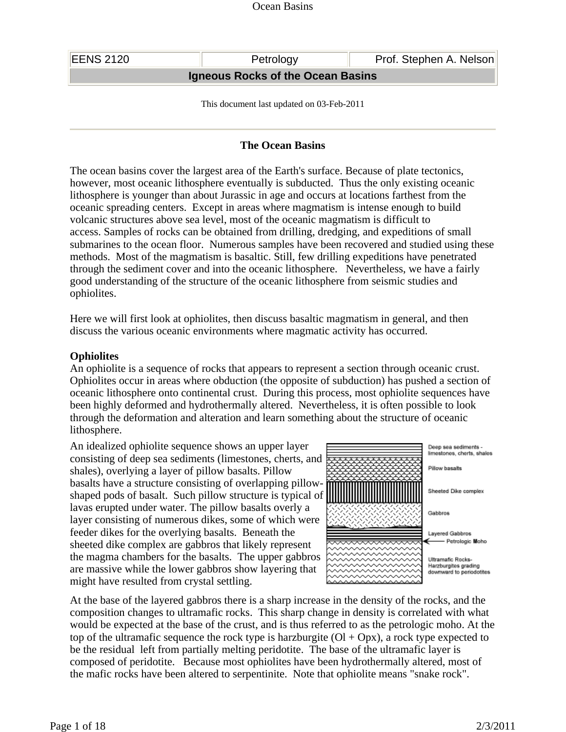| Igneous Rocks of the Ocean Basins |           |                         |  |  |
|-----------------------------------|-----------|-------------------------|--|--|
| <b>EENS 2120</b>                  | Petrology | Prof. Stephen A. Nelson |  |  |

This document last updated on 03-Feb-2011

## **The Ocean Basins**

The ocean basins cover the largest area of the Earth's surface. Because of plate tectonics, however, most oceanic lithosphere eventually is subducted. Thus the only existing oceanic lithosphere is younger than about Jurassic in age and occurs at locations farthest from the oceanic spreading centers. Except in areas where magmatism is intense enough to build volcanic structures above sea level, most of the oceanic magmatism is difficult to access. Samples of rocks can be obtained from drilling, dredging, and expeditions of small submarines to the ocean floor. Numerous samples have been recovered and studied using these methods. Most of the magmatism is basaltic. Still, few drilling expeditions have penetrated through the sediment cover and into the oceanic lithosphere. Nevertheless, we have a fairly good understanding of the structure of the oceanic lithosphere from seismic studies and ophiolites.

Here we will first look at ophiolites, then discuss basaltic magmatism in general, and then discuss the various oceanic environments where magmatic activity has occurred.

## **Ophiolites**

An ophiolite is a sequence of rocks that appears to represent a section through oceanic crust. Ophiolites occur in areas where obduction (the opposite of subduction) has pushed a section of oceanic lithosphere onto continental crust. During this process, most ophiolite sequences have been highly deformed and hydrothermally altered. Nevertheless, it is often possible to look through the deformation and alteration and learn something about the structure of oceanic lithosphere.

An idealized ophiolite sequence shows an upper layer consisting of deep sea sediments (limestones, cherts, and shales), overlying a layer of pillow basalts. Pillow basalts have a structure consisting of overlapping pillowshaped pods of basalt. Such pillow structure is typical of lavas erupted under water. The pillow basalts overly a layer consisting of numerous dikes, some of which were feeder dikes for the overlying basalts. Beneath the sheeted dike complex are gabbros that likely represent the magma chambers for the basalts. The upper gabbros are massive while the lower gabbros show layering that might have resulted from crystal settling.



At the base of the layered gabbros there is a sharp increase in the density of the rocks, and the composition changes to ultramafic rocks. This sharp change in density is correlated with what would be expected at the base of the crust, and is thus referred to as the petrologic moho. At the top of the ultramafic sequence the rock type is harzburgite  $(OI + Opx)$ , a rock type expected to be the residual left from partially melting peridotite. The base of the ultramafic layer is composed of peridotite. Because most ophiolites have been hydrothermally altered, most of the mafic rocks have been altered to serpentinite. Note that ophiolite means "snake rock".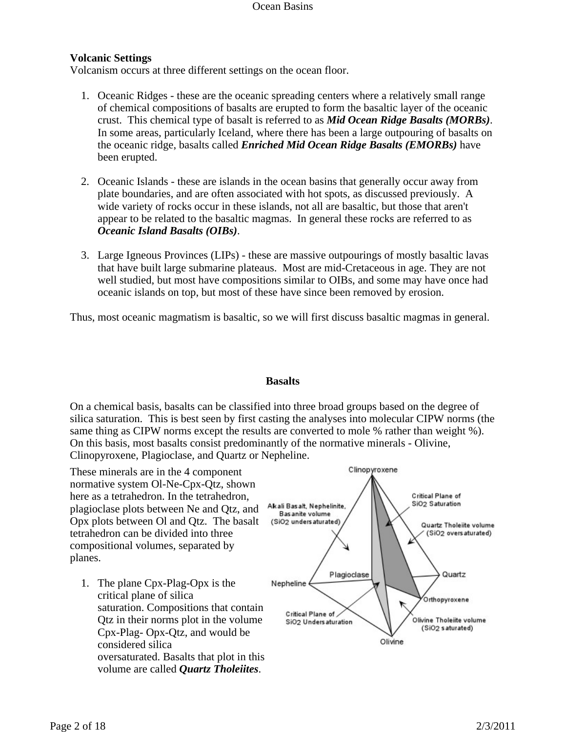## **Volcanic Settings**

Volcanism occurs at three different settings on the ocean floor.

- 1. Oceanic Ridges these are the oceanic spreading centers where a relatively small range of chemical compositions of basalts are erupted to form the basaltic layer of the oceanic crust. This chemical type of basalt is referred to as *Mid Ocean Ridge Basalts (MORBs)*. In some areas, particularly Iceland, where there has been a large outpouring of basalts on the oceanic ridge, basalts called *Enriched Mid Ocean Ridge Basalts (EMORBs)* have been erupted.
- 2. Oceanic Islands these are islands in the ocean basins that generally occur away from plate boundaries, and are often associated with hot spots, as discussed previously. A wide variety of rocks occur in these islands, not all are basaltic, but those that aren't appear to be related to the basaltic magmas. In general these rocks are referred to as *Oceanic Island Basalts (OIBs)*.
- 3. Large Igneous Provinces (LIPs) these are massive outpourings of mostly basaltic lavas that have built large submarine plateaus. Most are mid-Cretaceous in age. They are not well studied, but most have compositions similar to OIBs, and some may have once had oceanic islands on top, but most of these have since been removed by erosion.

Thus, most oceanic magmatism is basaltic, so we will first discuss basaltic magmas in general.

### **Basalts**

On a chemical basis, basalts can be classified into three broad groups based on the degree of silica saturation. This is best seen by first casting the analyses into molecular CIPW norms (the same thing as CIPW norms except the results are converted to mole % rather than weight %). On this basis, most basalts consist predominantly of the normative minerals - Olivine, Clinopyroxene, Plagioclase, and Quartz or Nepheline.

These minerals are in the 4 component normative system Ol-Ne-Cpx-Qtz, shown here as a tetrahedron. In the tetrahedron, plagioclase plots between Ne and Qtz, and Opx plots between Ol and Qtz. The basalt tetrahedron can be divided into three compositional volumes, separated by planes.

1. The plane Cpx-Plag-Opx is the critical plane of silica saturation. Compositions that contain Qtz in their norms plot in the volume Cpx-Plag- Opx-Qtz, and would be considered silica oversaturated. Basalts that plot in this volume are called *Quartz Tholeiites*.

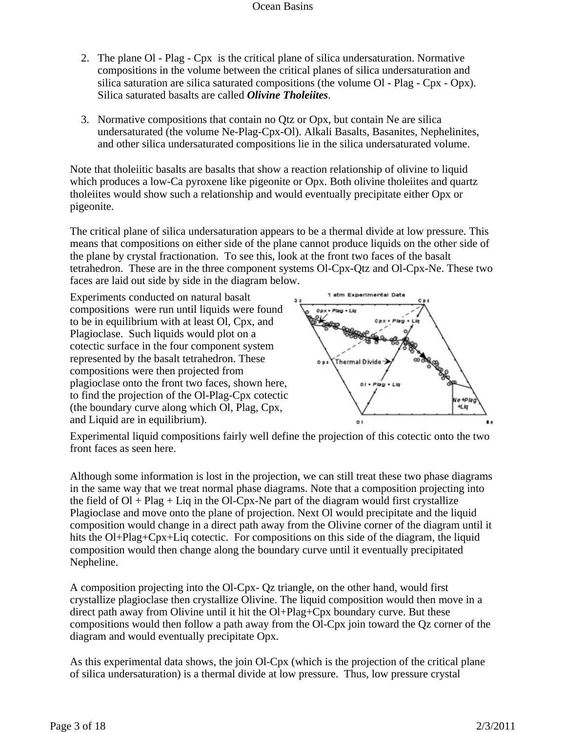- 2. The plane Ol Plag Cpx is the critical plane of silica undersaturation. Normative compositions in the volume between the critical planes of silica undersaturation and silica saturation are silica saturated compositions (the volume Ol - Plag - Cpx - Opx). Silica saturated basalts are called *Olivine Tholeiites*.
- 3. Normative compositions that contain no Qtz or Opx, but contain Ne are silica undersaturated (the volume Ne-Plag-Cpx-Ol). Alkali Basalts, Basanites, Nephelinites, and other silica undersaturated compositions lie in the silica undersaturated volume.

Note that tholeiitic basalts are basalts that show a reaction relationship of olivine to liquid which produces a low-Ca pyroxene like pigeonite or Opx. Both olivine tholeiites and quartz tholeiites would show such a relationship and would eventually precipitate either Opx or pigeonite.

The critical plane of silica undersaturation appears to be a thermal divide at low pressure. This means that compositions on either side of the plane cannot produce liquids on the other side of the plane by crystal fractionation. To see this, look at the front two faces of the basalt tetrahedron. These are in the three component systems Ol-Cpx-Qtz and Ol-Cpx-Ne. These two faces are laid out side by side in the diagram below.

Experiments conducted on natural basalt compositions were run until liquids were found to be in equilibrium with at least Ol, Cpx, and Plagioclase. Such liquids would plot on a cotectic surface in the four component system represented by the basalt tetrahedron. These compositions were then projected from plagioclase onto the front two faces, shown here, to find the projection of the Ol-Plag-Cpx cotectic (the boundary curve along which Ol, Plag, Cpx, and Liquid are in equilibrium).



Experimental liquid compositions fairly well define the projection of this cotectic onto the two front faces as seen here.

Although some information is lost in the projection, we can still treat these two phase diagrams in the same way that we treat normal phase diagrams. Note that a composition projecting into the field of  $O1 + Flag + Lig$  in the  $O1$ -Cpx-Ne part of the diagram would first crystallize Plagioclase and move onto the plane of projection. Next Ol would precipitate and the liquid composition would change in a direct path away from the Olivine corner of the diagram until it hits the Ol+Plag+Cpx+Liq cotectic. For compositions on this side of the diagram, the liquid composition would then change along the boundary curve until it eventually precipitated Nepheline.

A composition projecting into the Ol-Cpx- Qz triangle, on the other hand, would first crystallize plagioclase then crystallize Olivine. The liquid composition would then move in a direct path away from Olivine until it hit the Ol+Plag+Cpx boundary curve. But these compositions would then follow a path away from the Ol-Cpx join toward the Qz corner of the diagram and would eventually precipitate Opx.

As this experimental data shows, the join Ol-Cpx (which is the projection of the critical plane of silica undersaturation) is a thermal divide at low pressure. Thus, low pressure crystal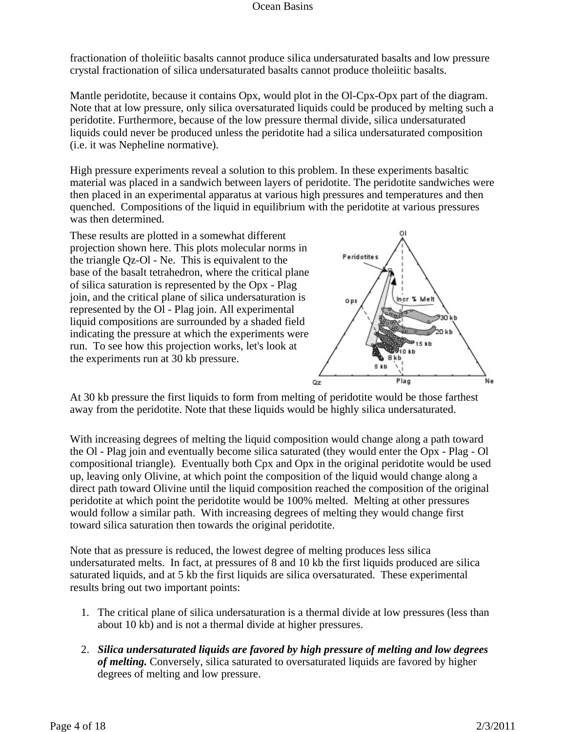fractionation of tholeiitic basalts cannot produce silica undersaturated basalts and low pressure crystal fractionation of silica undersaturated basalts cannot produce tholeiitic basalts.

Mantle peridotite, because it contains Opx, would plot in the Ol-Cpx-Opx part of the diagram. Note that at low pressure, only silica oversaturated liquids could be produced by melting such a peridotite. Furthermore, because of the low pressure thermal divide, silica undersaturated liquids could never be produced unless the peridotite had a silica undersaturated composition (i.e. it was Nepheline normative).

High pressure experiments reveal a solution to this problem. In these experiments basaltic material was placed in a sandwich between layers of peridotite. The peridotite sandwiches were then placed in an experimental apparatus at various high pressures and temperatures and then quenched. Compositions of the liquid in equilibrium with the peridotite at various pressures was then determined.

These results are plotted in a somewhat different projection shown here. This plots molecular norms in the triangle Qz-Ol - Ne. This is equivalent to the base of the basalt tetrahedron, where the critical plane of silica saturation is represented by the Opx - Plag join, and the critical plane of silica undersaturation is represented by the Ol - Plag join. All experimental liquid compositions are surrounded by a shaded field indicating the pressure at which the experiments were run. To see how this projection works, let's look at the experiments run at 30 kb pressure.



At 30 kb pressure the first liquids to form from melting of peridotite would be those farthest away from the peridotite. Note that these liquids would be highly silica undersaturated.

Qz

With increasing degrees of melting the liquid composition would change along a path toward the Ol - Plag join and eventually become silica saturated (they would enter the Opx - Plag - Ol compositional triangle). Eventually both Cpx and Opx in the original peridotite would be used up, leaving only Olivine, at which point the composition of the liquid would change along a direct path toward Olivine until the liquid composition reached the composition of the original peridotite at which point the peridotite would be 100% melted. Melting at other pressures would follow a similar path. With increasing degrees of melting they would change first toward silica saturation then towards the original peridotite.

Note that as pressure is reduced, the lowest degree of melting produces less silica undersaturated melts. In fact, at pressures of 8 and 10 kb the first liquids produced are silica saturated liquids, and at 5 kb the first liquids are silica oversaturated. These experimental results bring out two important points:

- 1. The critical plane of silica undersaturation is a thermal divide at low pressures (less than about 10 kb) and is not a thermal divide at higher pressures.
- 2. *Silica undersaturated liquids are favored by high pressure of melting and low degrees of melting.* Conversely, silica saturated to oversaturated liquids are favored by higher degrees of melting and low pressure.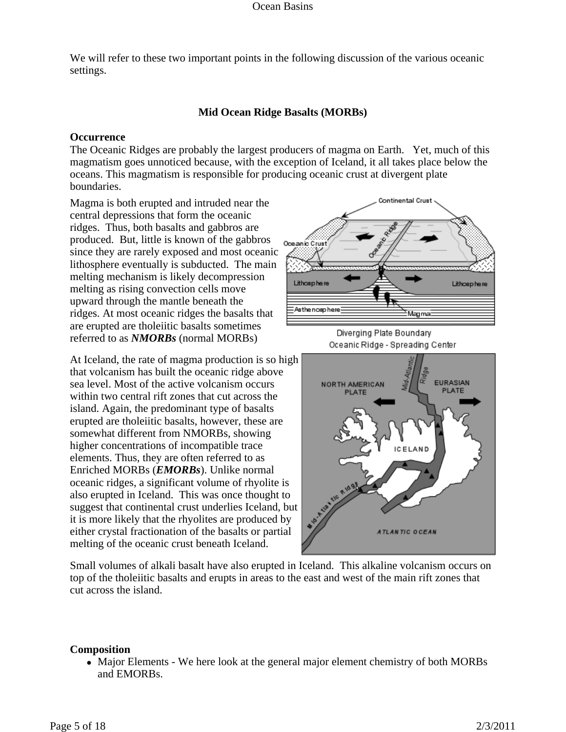We will refer to these two important points in the following discussion of the various oceanic settings.

# **Mid Ocean Ridge Basalts (MORBs)**

## **Occurrence**

The Oceanic Ridges are probably the largest producers of magma on Earth. Yet, much of this magmatism goes unnoticed because, with the exception of Iceland, it all takes place below the oceans. This magmatism is responsible for producing oceanic crust at divergent plate boundaries.

Magma is both erupted and intruded near the central depressions that form the oceanic ridges. Thus, both basalts and gabbros are produced. But, little is known of the gabbros since they are rarely exposed and most oceanic lithosphere eventually is subducted. The main melting mechanism is likely decompression melting as rising convection cells move upward through the mantle beneath the ridges. At most oceanic ridges the basalts that are erupted are tholeiitic basalts sometimes referred to as *NMORBs* (normal MORBs)

At Iceland, the rate of magma production is so high that volcanism has built the oceanic ridge above sea level. Most of the active volcanism occurs within two central rift zones that cut across the island. Again, the predominant type of basalts erupted are tholeiitic basalts, however, these are somewhat different from NMORBs, showing higher concentrations of incompatible trace elements. Thus, they are often referred to as Enriched MORBs (*EMORBs*). Unlike normal oceanic ridges, a significant volume of rhyolite is also erupted in Iceland. This was once thought to suggest that continental crust underlies Iceland, but it is more likely that the rhyolites are produced by either crystal fractionation of the basalts or partial melting of the oceanic crust beneath Iceland.



Diverging Plate Boundary Oceanic Ridge - Spreading Center



Small volumes of alkali basalt have also erupted in Iceland. This alkaline volcanism occurs on top of the tholeiitic basalts and erupts in areas to the east and west of the main rift zones that cut across the island.

# **Composition**

• Major Elements - We here look at the general major element chemistry of both MORBs and EMORBs.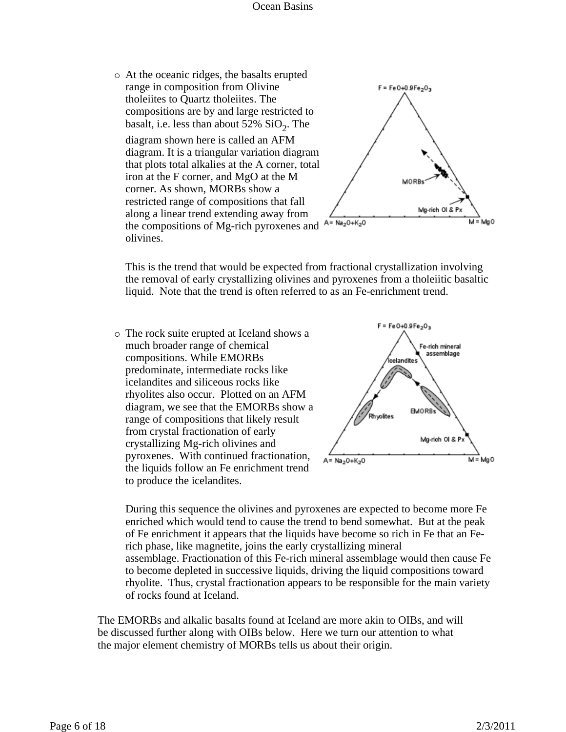{ At the oceanic ridges, the basalts erupted range in composition from Olivine  $F = FeO + 0.9Fe - 0.2$ tholeiites to Quartz tholeiites. The compositions are by and large restricted to basalt, i.e. less than about  $52\%$  SiO<sub>2</sub>. The diagram shown here is called an AFM diagram. It is a triangular variation diagram that plots total alkalies at the A corner, total iron at the F corner, and MgO at the M MORR corner. As shown, MORBs show a restricted range of compositions that fall Mg-rich OI & Px along a linear trend extending away from the compositions of Mg-rich pyroxenes and  $A = Na<sub>2</sub>O+K<sub>2</sub>O$  $M = MgO$ olivines.

This is the trend that would be expected from fractional crystallization involving the removal of early crystallizing olivines and pyroxenes from a tholeiitic basaltic liquid. Note that the trend is often referred to as an Fe-enrichment trend.

{ The rock suite erupted at Iceland shows a much broader range of chemical compositions. While EMORBs predominate, intermediate rocks like icelandites and siliceous rocks like rhyolites also occur. Plotted on an AFM diagram, we see that the EMORBs show a range of compositions that likely result from crystal fractionation of early crystallizing Mg-rich olivines and pyroxenes. With continued fractionation, the liquids follow an Fe enrichment trend to produce the icelandites.



During this sequence the olivines and pyroxenes are expected to become more Fe enriched which would tend to cause the trend to bend somewhat. But at the peak of Fe enrichment it appears that the liquids have become so rich in Fe that an Ferich phase, like magnetite, joins the early crystallizing mineral assemblage. Fractionation of this Fe-rich mineral assemblage would then cause Fe to become depleted in successive liquids, driving the liquid compositions toward rhyolite. Thus, crystal fractionation appears to be responsible for the main variety of rocks found at Iceland.

The EMORBs and alkalic basalts found at Iceland are more akin to OIBs, and will be discussed further along with OIBs below. Here we turn our attention to what the major element chemistry of MORBs tells us about their origin.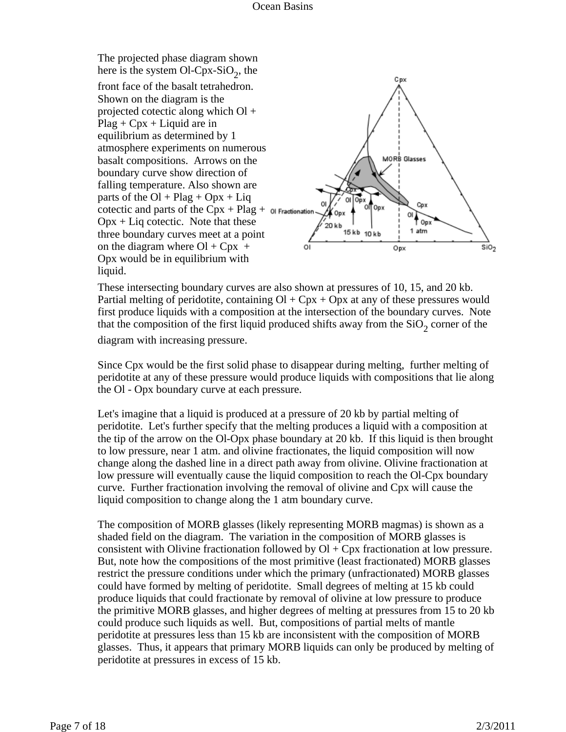

These intersecting boundary curves are also shown at pressures of 10, 15, and 20 kb. Partial melting of peridotite, containing  $Ol + Cpx + Opx$  at any of these pressures would first produce liquids with a composition at the intersection of the boundary curves. Note that the composition of the first liquid produced shifts away from the  $SiO<sub>2</sub>$  corner of the

diagram with increasing pressure.

Since Cpx would be the first solid phase to disappear during melting, further melting of peridotite at any of these pressure would produce liquids with compositions that lie along the Ol - Opx boundary curve at each pressure.

Let's imagine that a liquid is produced at a pressure of 20 kb by partial melting of peridotite. Let's further specify that the melting produces a liquid with a composition at the tip of the arrow on the Ol-Opx phase boundary at 20 kb. If this liquid is then brought to low pressure, near 1 atm. and olivine fractionates, the liquid composition will now change along the dashed line in a direct path away from olivine. Olivine fractionation at low pressure will eventually cause the liquid composition to reach the Ol-Cpx boundary curve. Further fractionation involving the removal of olivine and Cpx will cause the liquid composition to change along the 1 atm boundary curve.

The composition of MORB glasses (likely representing MORB magmas) is shown as a shaded field on the diagram. The variation in the composition of MORB glasses is consistent with Olivine fractionation followed by  $Ol + Cpx$  fractionation at low pressure. But, note how the compositions of the most primitive (least fractionated) MORB glasses restrict the pressure conditions under which the primary (unfractionated) MORB glasses could have formed by melting of peridotite. Small degrees of melting at 15 kb could produce liquids that could fractionate by removal of olivine at low pressure to produce the primitive MORB glasses, and higher degrees of melting at pressures from 15 to 20 kb could produce such liquids as well. But, compositions of partial melts of mantle peridotite at pressures less than 15 kb are inconsistent with the composition of MORB glasses. Thus, it appears that primary MORB liquids can only be produced by melting of peridotite at pressures in excess of 15 kb.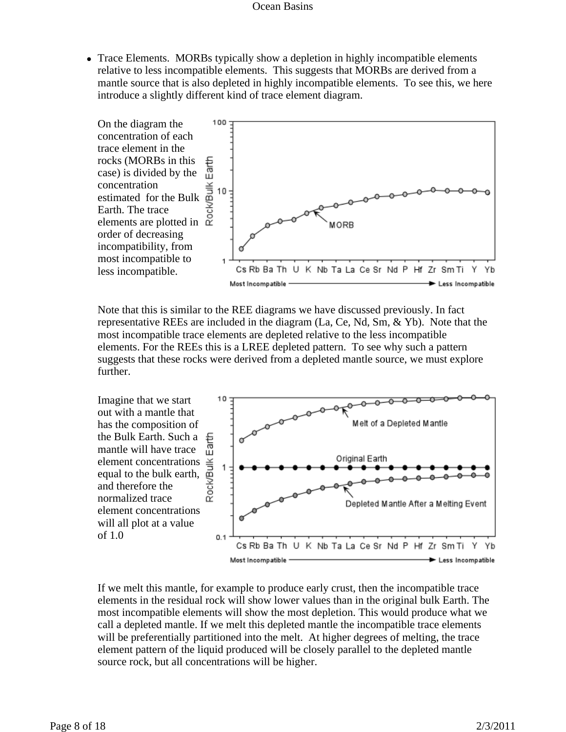• Trace Elements. MORBs typically show a depletion in highly incompatible elements relative to less incompatible elements. This suggests that MORBs are derived from a mantle source that is also depleted in highly incompatible elements. To see this, we here introduce a slightly different kind of trace element diagram.



Note that this is similar to the REE diagrams we have discussed previously. In fact representative REEs are included in the diagram (La, Ce, Nd, Sm, & Yb). Note that the most incompatible trace elements are depleted relative to the less incompatible elements. For the REEs this is a LREE depleted pattern. To see why such a pattern suggests that these rocks were derived from a depleted mantle source, we must explore further.



If we melt this mantle, for example to produce early crust, then the incompatible trace elements in the residual rock will show lower values than in the original bulk Earth. The most incompatible elements will show the most depletion. This would produce what we call a depleted mantle. If we melt this depleted mantle the incompatible trace elements will be preferentially partitioned into the melt. At higher degrees of melting, the trace element pattern of the liquid produced will be closely parallel to the depleted mantle source rock, but all concentrations will be higher.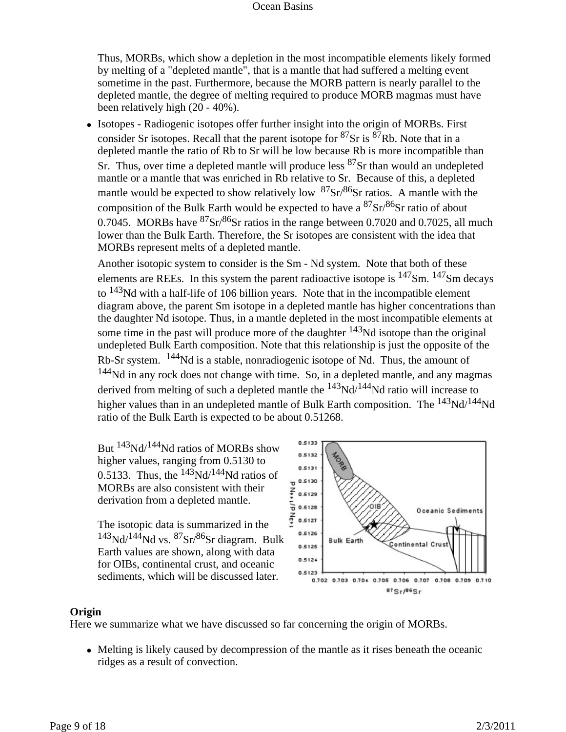Thus, MORBs, which show a depletion in the most incompatible elements likely formed by melting of a "depleted mantle", that is a mantle that had suffered a melting event sometime in the past. Furthermore, because the MORB pattern is nearly parallel to the depleted mantle, the degree of melting required to produce MORB magmas must have been relatively high (20 - 40%).

• Isotopes - Radiogenic isotopes offer further insight into the origin of MORBs. First consider Sr isotopes. Recall that the parent isotope for  ${}^{87}Sr$  is  ${}^{87}Rb$ . Note that in a depleted mantle the ratio of Rb to Sr will be low because Rb is more incompatible than Sr. Thus, over time a depleted mantle will produce less  $87$ Sr than would an undepleted mantle or a mantle that was enriched in Rb relative to Sr. Because of this, a depleted mantle would be expected to show relatively low  $87\text{Sr}/86\text{Sr}$  ratios. A mantle with the composition of the Bulk Earth would be expected to have a  $87\text{Sr}/86\text{Sr}$  ratio of about 0.7045. MORBs have  ${}^{87}Sr/{}^{86}Sr$  ratios in the range between 0.7020 and 0.7025, all much lower than the Bulk Earth. Therefore, the Sr isotopes are consistent with the idea that MORBs represent melts of a depleted mantle.

Another isotopic system to consider is the Sm - Nd system. Note that both of these elements are REEs. In this system the parent radioactive isotope is  $147$ Sm.  $147$ Sm decays to <sup>143</sup>Nd with a half-life of 106 billion years. Note that in the incompatible element diagram above, the parent Sm isotope in a depleted mantle has higher concentrations than the daughter Nd isotope. Thus, in a mantle depleted in the most incompatible elements at some time in the past will produce more of the daughter  $143$ Nd isotope than the original undepleted Bulk Earth composition. Note that this relationship is just the opposite of the Rb-Sr system. <sup>144</sup>Nd is a stable, nonradiogenic isotope of Nd. Thus, the amount of <sup>144</sup>Nd in any rock does not change with time. So, in a depleted mantle, and any magmas derived from melting of such a depleted mantle the  $143Nd^{144}Nd$  ratio will increase to higher values than in an undepleted mantle of Bulk Earth composition. The  $^{143}Nd/^{144}Nd$ ratio of the Bulk Earth is expected to be about 0.51268.

But  $143Nd/144Nd$  ratios of MORBs show higher values, ranging from 0.5130 to 0.5133. Thus, the  $^{143}$ Nd/ $^{144}$ Nd ratios of MORBs are also consistent with their derivation from a depleted mantle.

The isotopic data is summarized in the  $143$ Nd/ $144$ Nd vs.  $87$ Sr $/86$ Sr diagram. Bulk Earth values are shown, along with data for OIBs, continental crust, and oceanic sediments, which will be discussed later.



# **Origin**

Here we summarize what we have discussed so far concerning the origin of MORBs.

• Melting is likely caused by decompression of the mantle as it rises beneath the oceanic ridges as a result of convection.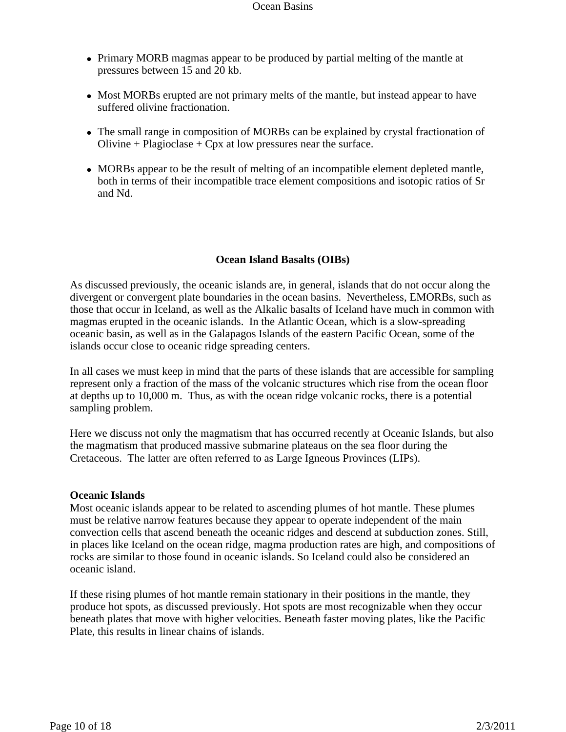- Primary MORB magmas appear to be produced by partial melting of the mantle at pressures between 15 and 20 kb.
- Most MORBs erupted are not primary melts of the mantle, but instead appear to have suffered olivine fractionation.
- The small range in composition of MORBs can be explained by crystal fractionation of Olivine  $+$  Plagioclase  $+$  Cpx at low pressures near the surface.
- MORBs appear to be the result of melting of an incompatible element depleted mantle, both in terms of their incompatible trace element compositions and isotopic ratios of Sr and Nd.

# **Ocean Island Basalts (OIBs)**

As discussed previously, the oceanic islands are, in general, islands that do not occur along the divergent or convergent plate boundaries in the ocean basins. Nevertheless, EMORBs, such as those that occur in Iceland, as well as the Alkalic basalts of Iceland have much in common with magmas erupted in the oceanic islands. In the Atlantic Ocean, which is a slow-spreading oceanic basin, as well as in the Galapagos Islands of the eastern Pacific Ocean, some of the islands occur close to oceanic ridge spreading centers.

In all cases we must keep in mind that the parts of these islands that are accessible for sampling represent only a fraction of the mass of the volcanic structures which rise from the ocean floor at depths up to 10,000 m. Thus, as with the ocean ridge volcanic rocks, there is a potential sampling problem.

Here we discuss not only the magmatism that has occurred recently at Oceanic Islands, but also the magmatism that produced massive submarine plateaus on the sea floor during the Cretaceous. The latter are often referred to as Large Igneous Provinces (LIPs).

# **Oceanic Islands**

Most oceanic islands appear to be related to ascending plumes of hot mantle. These plumes must be relative narrow features because they appear to operate independent of the main convection cells that ascend beneath the oceanic ridges and descend at subduction zones. Still, in places like Iceland on the ocean ridge, magma production rates are high, and compositions of rocks are similar to those found in oceanic islands. So Iceland could also be considered an oceanic island.

If these rising plumes of hot mantle remain stationary in their positions in the mantle, they produce hot spots, as discussed previously. Hot spots are most recognizable when they occur beneath plates that move with higher velocities. Beneath faster moving plates, like the Pacific Plate, this results in linear chains of islands.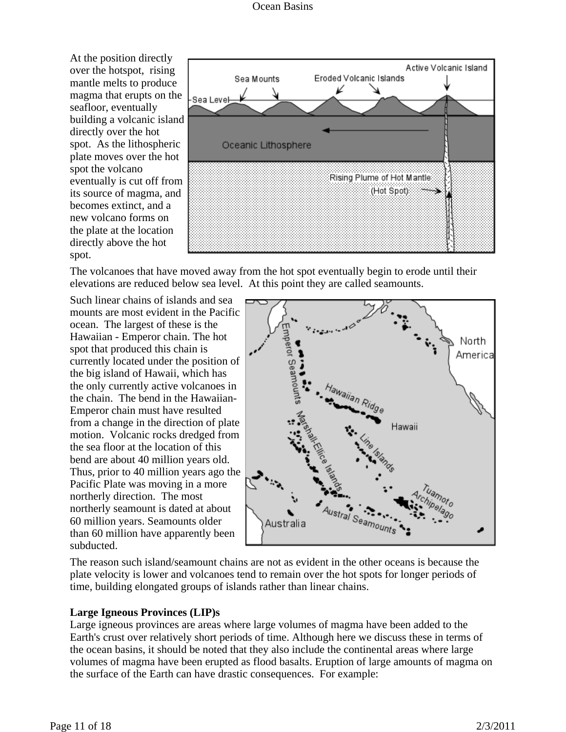At the position directly over the hotspot, rising mantle melts to produce magma that erupts on the seafloor, eventually building a volcanic island directly over the hot spot. As the lithospheric plate moves over the hot spot the volcano eventually is cut off from its source of magma, and becomes extinct, and a new volcano forms on the plate at the location directly above the hot spot.



The volcanoes that have moved away from the hot spot eventually begin to erode until their elevations are reduced below sea level. At this point they are called seamounts.

Such linear chains of islands and sea mounts are most evident in the Pacific ocean. The largest of these is the Hawaiian - Emperor chain. The hot spot that produced this chain is currently located under the position of the big island of Hawaii, which has the only currently active volcanoes in the chain. The bend in the Hawaiian-Emperor chain must have resulted from a change in the direction of plate motion. Volcanic rocks dredged from the sea floor at the location of this bend are about 40 million years old. Thus, prior to 40 million years ago the Pacific Plate was moving in a more northerly direction. The most northerly seamount is dated at about 60 million years. Seamounts older than 60 million have apparently been subducted.



The reason such island/seamount chains are not as evident in the other oceans is because the plate velocity is lower and volcanoes tend to remain over the hot spots for longer periods of time, building elongated groups of islands rather than linear chains.

### **Large Igneous Provinces (LIP)s**

Large igneous provinces are areas where large volumes of magma have been added to the Earth's crust over relatively short periods of time. Although here we discuss these in terms of the ocean basins, it should be noted that they also include the continental areas where large volumes of magma have been erupted as flood basalts. Eruption of large amounts of magma on the surface of the Earth can have drastic consequences. For example: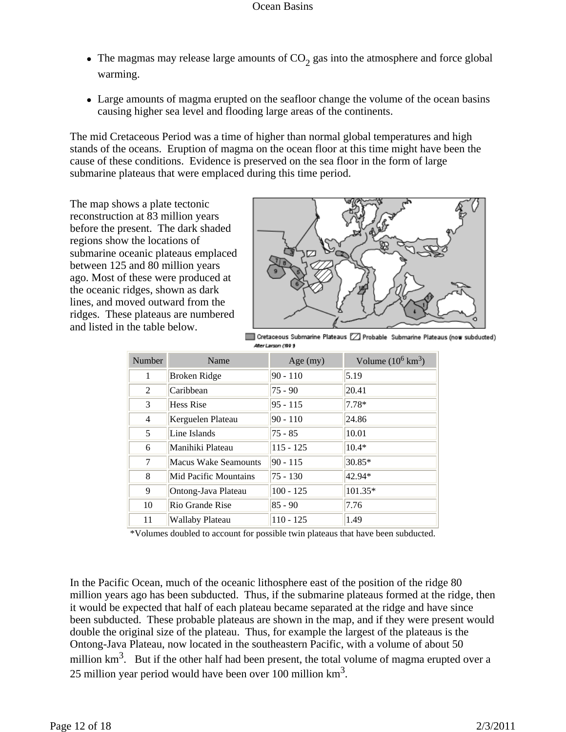- The magmas may release large amounts of  $CO<sub>2</sub>$  gas into the atmosphere and force global warming.
- Large amounts of magma erupted on the seafloor change the volume of the ocean basins causing higher sea level and flooding large areas of the continents.

The mid Cretaceous Period was a time of higher than normal global temperatures and high stands of the oceans. Eruption of magma on the ocean floor at this time might have been the cause of these conditions. Evidence is preserved on the sea floor in the form of large submarine plateaus that were emplaced during this time period.

The map shows a plate tectonic reconstruction at 83 million years before the present. The dark shaded regions show the locations of submarine oceanic plateaus emplaced between 125 and 80 million years ago. Most of these were produced at the oceanic ridges, shown as dark lines, and moved outward from the ridges. These plateaus are numbered and listed in the table below.



Cretaceous Submarine Plateaus [ Z] Probable Submarine Plateaus (now subducted) After Larson (1991

| Number | Name                   | Age $(my)$  | Volume $(10^6 \text{ km}^3)$ |
|--------|------------------------|-------------|------------------------------|
| 1      | Broken Ridge           | $90 - 110$  | 5.19                         |
| 2      | Caribbean              | $75 - 90$   | 20.41                        |
| 3      | <b>Hess Rise</b>       | $95 - 115$  | $7.78*$                      |
| 4      | Kerguelen Plateau      | $90 - 110$  | 24.86                        |
| 5      | Line Islands           | $75 - 85$   | 10.01                        |
| 6      | Manihiki Plateau       | $115 - 125$ | $10.4*$                      |
| 7      | Macus Wake Seamounts   | $90 - 115$  | 30.85*                       |
| 8      | Mid Pacific Mountains  | 75 - 130    | 42.94*                       |
| 9      | Ontong-Java Plateau    | $100 - 125$ | $101.35*$                    |
| 10     | <b>Rio Grande Rise</b> | $85 - 90$   | 7.76                         |
| 11     | Wallaby Plateau        | $110 - 125$ | 1.49                         |

\*Volumes doubled to account for possible twin plateaus that have been subducted.

In the Pacific Ocean, much of the oceanic lithosphere east of the position of the ridge 80 million years ago has been subducted. Thus, if the submarine plateaus formed at the ridge, then it would be expected that half of each plateau became separated at the ridge and have since been subducted. These probable plateaus are shown in the map, and if they were present would double the original size of the plateau. Thus, for example the largest of the plateaus is the Ontong-Java Plateau, now located in the southeastern Pacific, with a volume of about 50 million  $km<sup>3</sup>$ . But if the other half had been present, the total volume of magma erupted over a 25 million year period would have been over 100 million  $km<sup>3</sup>$ .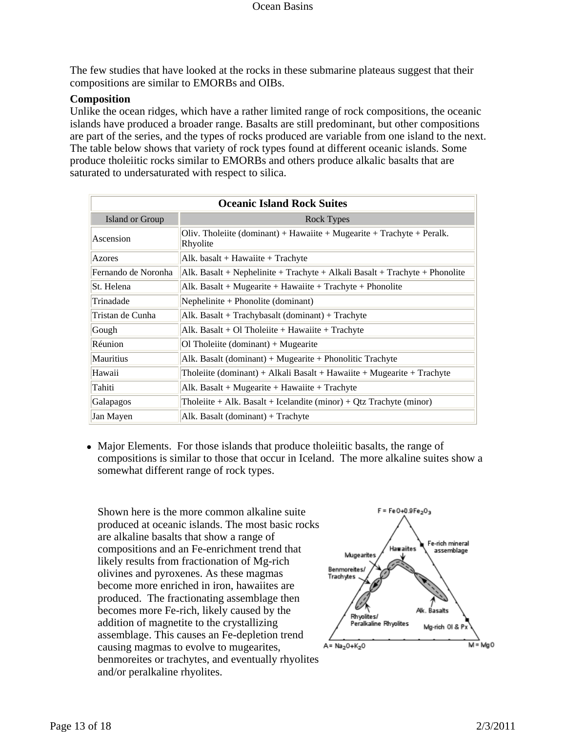The few studies that have looked at the rocks in these submarine plateaus suggest that their compositions are similar to EMORBs and OIBs.

## **Composition**

Unlike the ocean ridges, which have a rather limited range of rock compositions, the oceanic islands have produced a broader range. Basalts are still predominant, but other compositions are part of the series, and the types of rocks produced are variable from one island to the next. The table below shows that variety of rock types found at different oceanic islands. Some produce tholeiitic rocks similar to EMORBs and others produce alkalic basalts that are saturated to undersaturated with respect to silica.

| <b>Oceanic Island Rock Suites</b> |                                                                                                                                      |  |  |
|-----------------------------------|--------------------------------------------------------------------------------------------------------------------------------------|--|--|
| Island or Group                   | <b>Rock Types</b>                                                                                                                    |  |  |
| Ascension                         | Oliv. Tholeiite (dominant) + Hawaiite + Mugearite + Trachyte + Peralk.<br>Rhyolite                                                   |  |  |
| Azores                            | Alk. basalt + Hawaiite + Trachyte                                                                                                    |  |  |
| Fernando de Noronha               | Alk. Basalt + Nephelinite + Trachyte + Alkali Basalt + Trachyte + Phonolite                                                          |  |  |
| St. Helena                        | Alk. Basalt + Mugearite + Hawaiite + Trachyte + Phonolite                                                                            |  |  |
| Trinadade                         | Nephelinite + Phonolite (dominant)                                                                                                   |  |  |
| Tristan de Cunha                  | Alk. Basalt + Trachybasalt (dominant) + Trachyte                                                                                     |  |  |
| Gough                             | Alk. Basalt + Ol Tholeiite + Hawaiite + Trachyte                                                                                     |  |  |
| Réunion                           | Ol Tholeiite (dominant) + Mugearite                                                                                                  |  |  |
| <b>Mauritius</b>                  | Alk. Basalt (dominant) + Mugearite + Phonolitic Trachyte                                                                             |  |  |
| Hawaii                            | $The 1 1.11 1 1.12 1 1.13 1 1.14 1 1.14 1 1.14 1 1.14 1 1.14 1 1.14 1 1.14 1 1.14 1 1.14 1 1.14 1 1.14 1 1.14 1 1.14 1 1.14 1 1.14 $ |  |  |
| Tahiti                            | Alk. Basalt + Mugearite + Hawaiite + Trachyte                                                                                        |  |  |
| Galapagos                         | Tholeiite + Alk. Basalt + Icelandite (minor) + Qtz Trachyte (minor)                                                                  |  |  |
| Jan Mayen                         | Alk. Basalt (dominant) + Trachyte                                                                                                    |  |  |

• Major Elements. For those islands that produce tholeitic basalts, the range of compositions is similar to those that occur in Iceland. The more alkaline suites show a somewhat different range of rock types.

Shown here is the more common alkaline suite produced at oceanic islands. The most basic rocks are alkaline basalts that show a range of compositions and an Fe-enrichment trend that likely results from fractionation of Mg-rich olivines and pyroxenes. As these magmas become more enriched in iron, hawaiites are produced. The fractionating assemblage then becomes more Fe-rich, likely caused by the addition of magnetite to the crystallizing assemblage. This causes an Fe-depletion trend causing magmas to evolve to mugearites, benmoreites or trachytes, and eventually rhyolites and/or peralkaline rhyolites.

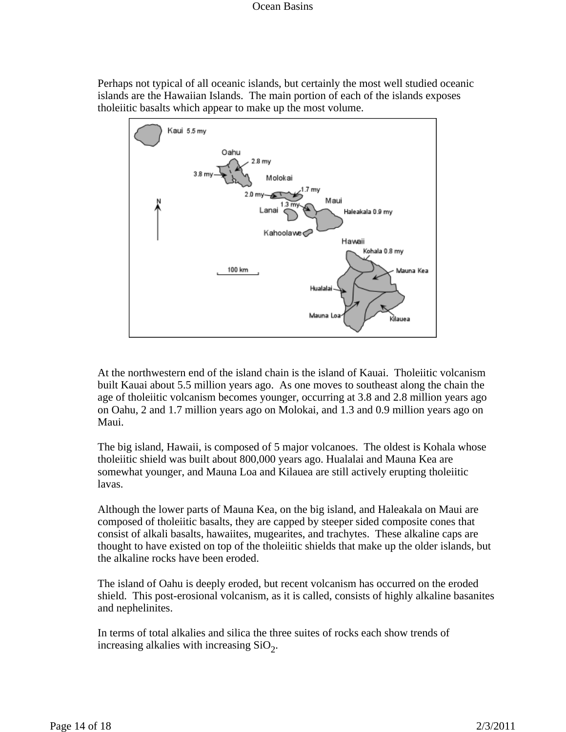Perhaps not typical of all oceanic islands, but certainly the most well studied oceanic islands are the Hawaiian Islands. The main portion of each of the islands exposes tholeiitic basalts which appear to make up the most volume.



At the northwestern end of the island chain is the island of Kauai. Tholeiitic volcanism built Kauai about 5.5 million years ago. As one moves to southeast along the chain the age of tholeiitic volcanism becomes younger, occurring at 3.8 and 2.8 million years ago on Oahu, 2 and 1.7 million years ago on Molokai, and 1.3 and 0.9 million years ago on Maui.

The big island, Hawaii, is composed of 5 major volcanoes. The oldest is Kohala whose tholeiitic shield was built about 800,000 years ago. Hualalai and Mauna Kea are somewhat younger, and Mauna Loa and Kilauea are still actively erupting tholeiitic lavas.

Although the lower parts of Mauna Kea, on the big island, and Haleakala on Maui are composed of tholeiitic basalts, they are capped by steeper sided composite cones that consist of alkali basalts, hawaiites, mugearites, and trachytes. These alkaline caps are thought to have existed on top of the tholeiitic shields that make up the older islands, but the alkaline rocks have been eroded.

The island of Oahu is deeply eroded, but recent volcanism has occurred on the eroded shield. This post-erosional volcanism, as it is called, consists of highly alkaline basanites and nephelinites.

In terms of total alkalies and silica the three suites of rocks each show trends of increasing alkalies with increasing  $SiO<sub>2</sub>$ .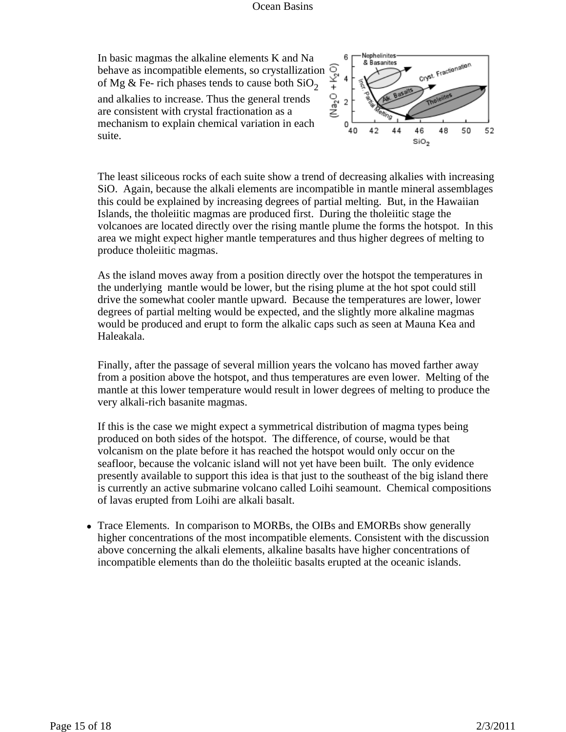In basic magmas the alkaline elements K and Na behave as incompatible elements, so crystallization  $\frac{1}{8}$ <br>of Mg & Fe- rich phases tends to cause both SiO<sub>2</sub> of Mg & Fe- rich phases tends to cause both  $SiO<sub>2</sub>$ and alkalies to increase. Thus the general trends are consistent with crystal fractionation as a mechanism to explain chemical variation in each suite.



The least siliceous rocks of each suite show a trend of decreasing alkalies with increasing SiO. Again, because the alkali elements are incompatible in mantle mineral assemblages this could be explained by increasing degrees of partial melting. But, in the Hawaiian Islands, the tholeiitic magmas are produced first. During the tholeiitic stage the volcanoes are located directly over the rising mantle plume the forms the hotspot. In this area we might expect higher mantle temperatures and thus higher degrees of melting to produce tholeiitic magmas.

As the island moves away from a position directly over the hotspot the temperatures in the underlying mantle would be lower, but the rising plume at the hot spot could still drive the somewhat cooler mantle upward. Because the temperatures are lower, lower degrees of partial melting would be expected, and the slightly more alkaline magmas would be produced and erupt to form the alkalic caps such as seen at Mauna Kea and Haleakala.

Finally, after the passage of several million years the volcano has moved farther away from a position above the hotspot, and thus temperatures are even lower. Melting of the mantle at this lower temperature would result in lower degrees of melting to produce the very alkali-rich basanite magmas.

If this is the case we might expect a symmetrical distribution of magma types being produced on both sides of the hotspot. The difference, of course, would be that volcanism on the plate before it has reached the hotspot would only occur on the seafloor, because the volcanic island will not yet have been built. The only evidence presently available to support this idea is that just to the southeast of the big island there is currently an active submarine volcano called Loihi seamount. Chemical compositions of lavas erupted from Loihi are alkali basalt.

• Trace Elements. In comparison to MORBs, the OIBs and EMORBs show generally higher concentrations of the most incompatible elements. Consistent with the discussion above concerning the alkali elements, alkaline basalts have higher concentrations of incompatible elements than do the tholeiitic basalts erupted at the oceanic islands.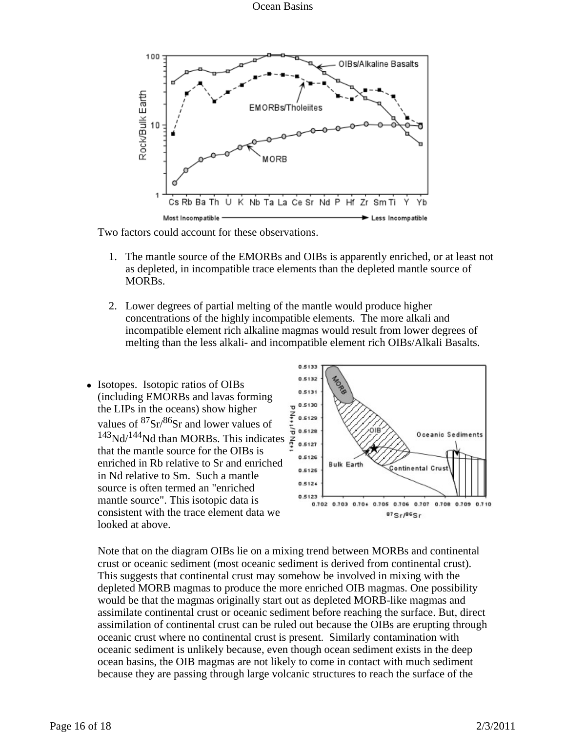Ocean Basins



Two factors could account for these observations.

- 1. The mantle source of the EMORBs and OIBs is apparently enriched, or at least not as depleted, in incompatible trace elements than the depleted mantle source of MORBs.
- 2. Lower degrees of partial melting of the mantle would produce higher concentrations of the highly incompatible elements. The more alkali and incompatible element rich alkaline magmas would result from lower degrees of melting than the less alkali- and incompatible element rich OIBs/Alkali Basalts.
- 0.5133  $0.5132$ • Isotopes. Isotopic ratios of OIBs  $0.5131$ (including EMORBs and lavas forming 0.5130 the LIPs in the oceans) show higher b<sub>N+1/PN<sub>E+</sub></sub> 0.5129 values of  $87\text{Sr}/86\text{Sr}$  and lower values of 0.5128 143Nd/<sup>144</sup>Nd than MORBs. This indicates Oceanic Sediments 0.6127 that the mantle source for the OIBs is  $0.5126$ enriched in Rb relative to Sr and enriched **Bulk Earth** ontinental Crus 0.5125 in Nd relative to Sm. Such a mantle  $0.5124$ source is often termed an "enriched  $0.5123$ mantle source". This isotopic data is 0.702 0.703 0.704 0.705 0.706 0.707 0.708 0.709 0.710 consistent with the trace element data we  $87Sr/86Sr$ looked at above.

Note that on the diagram OIBs lie on a mixing trend between MORBs and continental crust or oceanic sediment (most oceanic sediment is derived from continental crust). This suggests that continental crust may somehow be involved in mixing with the depleted MORB magmas to produce the more enriched OIB magmas. One possibility would be that the magmas originally start out as depleted MORB-like magmas and assimilate continental crust or oceanic sediment before reaching the surface. But, direct assimilation of continental crust can be ruled out because the OIBs are erupting through oceanic crust where no continental crust is present. Similarly contamination with oceanic sediment is unlikely because, even though ocean sediment exists in the deep ocean basins, the OIB magmas are not likely to come in contact with much sediment because they are passing through large volcanic structures to reach the surface of the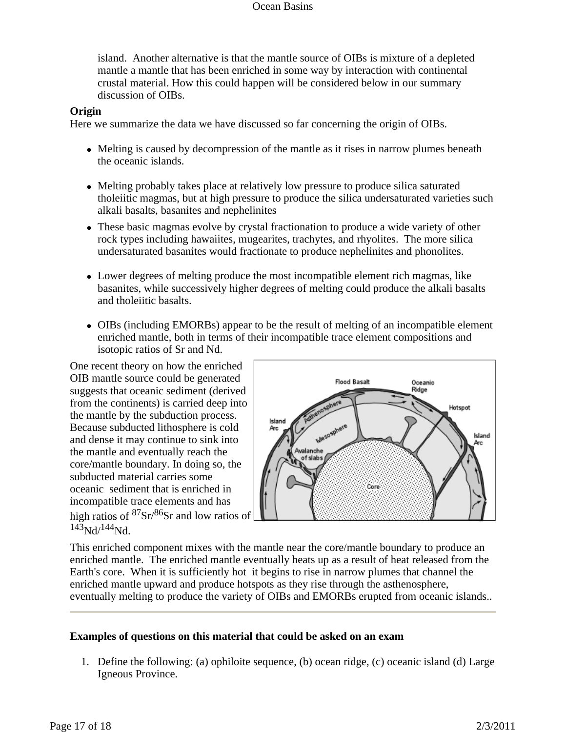island. Another alternative is that the mantle source of OIBs is mixture of a depleted mantle a mantle that has been enriched in some way by interaction with continental crustal material. How this could happen will be considered below in our summary discussion of OIBs.

## **Origin**

Here we summarize the data we have discussed so far concerning the origin of OIBs.

- Melting is caused by decompression of the mantle as it rises in narrow plumes beneath the oceanic islands.
- Melting probably takes place at relatively low pressure to produce silica saturated tholeiitic magmas, but at high pressure to produce the silica undersaturated varieties such alkali basalts, basanites and nephelinites
- These basic magmas evolve by crystal fractionation to produce a wide variety of other rock types including hawaiites, mugearites, trachytes, and rhyolites. The more silica undersaturated basanites would fractionate to produce nephelinites and phonolites.
- Lower degrees of melting produce the most incompatible element rich magmas, like basanites, while successively higher degrees of melting could produce the alkali basalts and tholeiitic basalts.
- OIBs (including EMORBs) appear to be the result of melting of an incompatible element enriched mantle, both in terms of their incompatible trace element compositions and isotopic ratios of Sr and Nd.

One recent theory on how the enriched OIB mantle source could be generated suggests that oceanic sediment (derived from the continents) is carried deep into the mantle by the subduction process. Because subducted lithosphere is cold and dense it may continue to sink into the mantle and eventually reach the core/mantle boundary. In doing so, the subducted material carries some oceanic sediment that is enriched in incompatible trace elements and has high ratios of  $87\text{Sr}/86\text{Sr}$  and low ratios of  $143<sub>Nd</sub>/144<sub>Nd</sub>$ 



This enriched component mixes with the mantle near the core/mantle boundary to produce an enriched mantle. The enriched mantle eventually heats up as a result of heat released from the Earth's core. When it is sufficiently hot it begins to rise in narrow plumes that channel the enriched mantle upward and produce hotspots as they rise through the asthenosphere, eventually melting to produce the variety of OIBs and EMORBs erupted from oceanic islands..

# **Examples of questions on this material that could be asked on an exam**

1. Define the following: (a) ophiloite sequence, (b) ocean ridge, (c) oceanic island (d) Large Igneous Province.